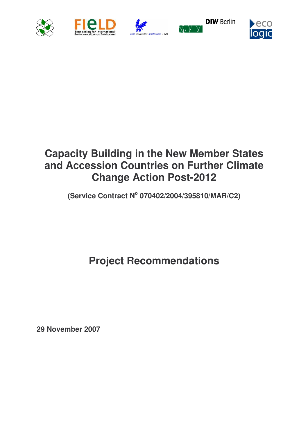









# **Capacity Building in the New Member States and Accession Countries on Further Climate Change Action Post-2012**

**(Service Contract N o 070402/2004/395810/MAR/C2)**

**Project Recommendations**

**29 November 2007**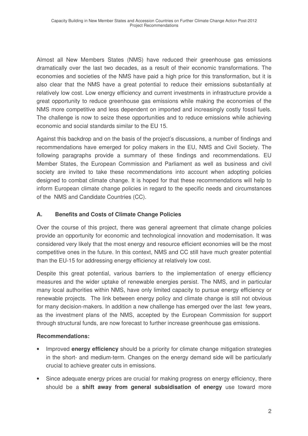Almost all New Members States (NMS) have reduced their greenhouse gas emissions dramatically over the last two decades, as a result of their economic transformations. The economies and societies of the NMS have paid a high price for this transformation, but it is also clear that the NMS have a great potential to reduce their emissions substantially at relatively low cost. Low energy efficiency and current investments in infrastructure provide a great opportunity to reduce greenhouse gas emissions while making the economies of the NMS more competitive and less dependent on imported and increasingly costly fossil fuels. The challenge is now to seize these opportunities and to reduce emissions while achieving economic and social standards similar to the EU 15.

Against this backdrop and on the basis of the project's discussions, a number of findings and recommendations have emerged for policy makers in the EU, NMS and Civil Society. The following paragraphs provide a summary of these findings and recommendations. EU Member States, the European Commission and Parliament as well as business and civil society are invited to take these recommendations into account when adopting policies designed to combat climate change. It is hoped for that these recommendations will help to inform European climate change policies in regard to the specific needs and circumstances of the NMS and Candidate Countries (CC).

# **A. Benefits and Costs of Climate Change Policies**

Over the course of this project, there was general agreement that climate change policies provide an opportunity for economic and technological innovation and modernisation. It was considered very likely that the most energy and resource efficient economies will be the most competitive ones in the future. In this context, NMS and CC still have much greater potential than the EU-15 for addressing energy efficiency at relatively low cost.

Despite this great potential, various barriers to the implementation of energy efficiency measures and the wider uptake of renewable energies persist. The NMS, and in particular many local authorities within NMS, have only limited capacity to pursue energy efficiency or renewable projects. The link between energy policy and climate change is still not obvious for many decision-makers. In addition a new challenge has emerged over the last few years, as the investment plans of the NMS, accepted by the European Commission for support through structural funds, are now forecast to further increase greenhouse gas emissions.

- Improved **energy efficiency** should be a priority for climate change mitigation strategies in the short- and medium-term. Changes on the energy demand side will be particularly crucial to achieve greater cuts in emissions.
- Since adequate energy prices are crucial for making progress on energy efficiency, there should be a **shift away from general subsidisation of energy** use toward more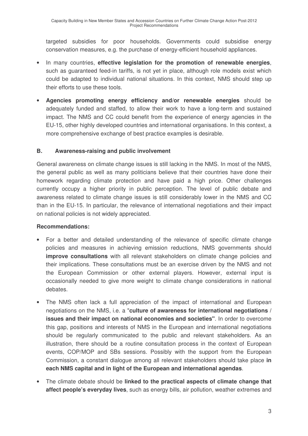targeted subsidies for poor households. Governments could subsidise energy conservation measures, e.g. the purchase of energy-efficient household appliances.

- In many countries, **effective legislation for the promotion of renewable energies**, such as guaranteed feed-in tariffs, is not yet in place, although role models exist which could be adapted to individual national situations. In this context, NMS should step up their efforts to use these tools.
- **Agencies promoting energy efficiency and/or renewable energies** should be adequately funded and staffed, to allow their work to have a long-term and sustained impact. The NMS and CC could benefit from the experience of energy agencies in the EU-15, other highly developed countries and international organisations. In this context, a more comprehensive exchange of best practice examples is desirable.

## **B. Awareness-raising and public involvement**

General awareness on climate change issues is still lacking in the NMS. In most of the NMS, the general public as well as many politicians believe that their countries have done their homework regarding climate protection and have paid a high price. Other challenges currently occupy a higher priority in public perception. The level of public debate and awareness related to climate change issues is still considerably lower in the NMS and CC than in the EU-15. In particular, the relevance of international negotiations and their impact on national policies is not widely appreciated.

- For a better and detailed understanding of the relevance of specific climate change policies and measures in achieving emission reductions, NMS governments should **improve consultations** with all relevant stakeholders on climate change policies and their implications. These consultations must be an exercise driven by the NMS and not the European Commission or other external players. However, external input is occasionally needed to give more weight to climate change considerations in national debates.
- The NMS often lack a full appreciation of the impact of international and European negotiations on the NMS, i.e. a "**culture of awareness for international negotiations / issues and their impact on national economies and societies"**. In order to overcome this gap, positions and interests of NMS in the European and international negotiations should be regularly communicated to the public and relevant stakeholders. As an illustration, there should be a routine consultation process in the context of European events, COP/MOP and SBs sessions. Possibly with the support from the European Commission, a constant dialogue among all relevant stakeholders should take place **in each NMS capital and in light of the European and international agendas**.
- The climate debate should be **linked to the practical aspects of climate change that affect people's everyday lives**, such as energy bills, air pollution, weather extremes and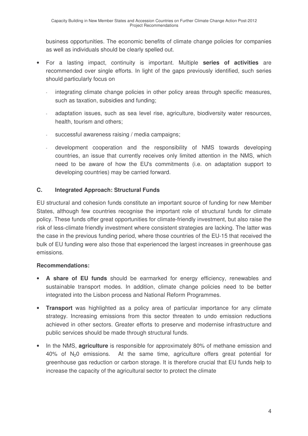business opportunities. The economic benefits of climate change policies for companies as well as individuals should be clearly spelled out.

- For a lasting impact, continuity is important. Multiple **series of activities** are recommended over single efforts. In light of the gaps previously identified, such series should particularly focus on
	- integrating climate change policies in other policy areas through specific measures, such as taxation, subsidies and funding;
	- adaptation issues, such as sea level rise, agriculture, biodiversity water resources, health, tourism and others;
	- successful awareness raising / media campaigns;
	- development cooperation and the responsibility of NMS towards developing countries, an issue that currently receives only limited attention in the NMS, which need to be aware of how the EU's commitments (i.e. on adaptation support to developing countries) may be carried forward.

# **C. Integrated Approach: Structural Funds**

EU structural and cohesion funds constitute an important source of funding for new Member States, although few countries recognise the important role of structural funds for climate policy. These funds offer great opportunities for climate-friendly investment, but also raise the risk of less-climate friendly investment where consistent strategies are lacking. The latter was the case in the previous funding period, where those countries of the EU-15 that received the bulk of EU funding were also those that experienced the largest increases in greenhouse gas emissions.

- **A share of EU funds** should be earmarked for energy efficiency, renewables and sustainable transport modes. In addition, climate change policies need to be better integrated into the Lisbon process and National Reform Programmes.
- **Transport** was highlighted as a policy area of particular importance for any climate strategy. Increasing emissions from this sector threaten to undo emission reductions achieved in other sectors. Greater efforts to preserve and modernise infrastructure and public services should be made through structural funds.
- In the NMS, **agriculture** is responsible for approximately 80% of methane emission and 40% of N20 emissions. At the same time, agriculture offers great potential for greenhouse gas reduction or carbon storage. It is therefore crucial that EU funds help to increase the capacity of the agricultural sector to protect the climate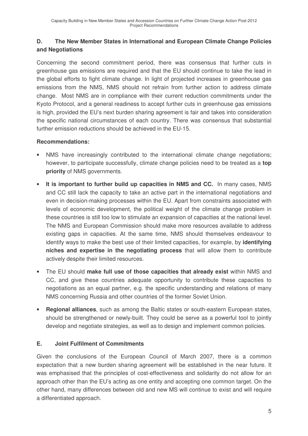# **D. The New Member States in International and European Climate Change Policies and Negotiations**

Concerning the second commitment period, there was consensus that further cuts in greenhouse gas emissions are required and that the EU should continue to take the lead in the global efforts to fight climate change. In light of projected increases in greenhouse gas emissions from the NMS, NMS should not refrain from further action to address climate change. Most NMS are in compliance with their current reduction commitments under the Kyoto Protocol, and a general readiness to accept further cuts in greenhouse gas emissions is high, provided the EU's next burden sharing agreement is fair and takes into consideration the specific national circumstances of each country. There was consensus that substantial further emission reductions should be achieved in the EU-15.

#### **Recommendations:**

- NMS have increasingly contributed to the international climate change negotiations; however, to participate successfully, climate change policies need to be treated as a **top priority** of NMS governments.
- **It is important to further build up capacities in NMS and CC.** In many cases, NMS and CC still lack the capacity to take an active part in the international negotiations and even in decision-making processes within the EU. Apart from constraints associated with levels of economic development, the political weight of the climate change problem in these countries is still too low to stimulate an expansion of capacities at the national level. The NMS and European Commission should make more resources available to address existing gaps in capacities. At the same time, NMS should themselves endeavour to identify ways to make the best use of their limited capacities, for example, by **identifying niches and expertise in the negotiating process** that will allow them to contribute actively despite their limited resources.
- The EU should **make full use of those capacities that already exist** within NMS and CC, and give these countries adequate opportunity to contribute these capacities to negotiations as an equal partner, e.g. the specific understanding and relations of many NMS concerning Russia and other countries of the former Soviet Union.
- **Regional alliances**, such as among the Baltic states or south-eastern European states, should be strengthened or newly-built. They could be serve as a powerful tool to jointly develop and negotiate strategies, as well as to design and implement common policies.

## **E. Joint Fulfilment of Commitments**

Given the conclusions of the European Council of March 2007, there is a common expectation that a new burden sharing agreement will be established in the near future. It was emphasised that the principles of cost-effectiveness and solidarity do not allow for an approach other than the EU's acting as one entity and accepting one common target. On the other hand, many differences between old and new MS will continue to exist and will require a differentiated approach.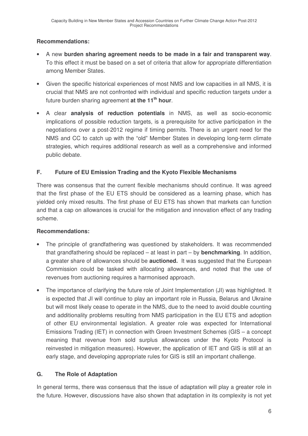# **Recommendations:**

- A new **burden sharing agreement needs to be made in a fair and transparent way**. To this effect it must be based on a set of criteria that allow for appropriate differentiation among Member States.
- Given the specific historical experiences of most NMS and low capacities in all NMS, it is crucial that NMS are not confronted with individual and specific reduction targets under a future burden sharing agreement **at the 11 th hour**.
- A clear **analysis of reduction potentials** in NMS, as well as socio-economic implications of possible reduction targets, is a prerequisite for active participation in the negotiations over a post-2012 regime if timing permits. There is an urgent need for the NMS and CC to catch up with the "old" Member States in developing long-term climate strategies, which requires additional research as well as a comprehensive and informed public debate.

# **F. Future of EU Emission Trading and the Kyoto Flexible Mechanisms**

There was consensus that the current flexible mechanisms should continue. It was agreed that the first phase of the EU ETS should be considered as a learning phase, which has yielded only mixed results. The first phase of EU ETS has shown that markets can function and that a cap on allowances is crucial for the mitigation and innovation effect of any trading scheme.

## **Recommendations:**

- The principle of grandfathering was questioned by stakeholders. It was recommended that grandfathering should be replaced – at least in part – by **benchmarking**. In addition, a greater share of allowances should be **auctioned.** It was suggested that the European Commission could be tasked with allocating allowances, and noted that the use of revenues from auctioning requires a harmonised approach.
- The importance of clarifying the future role of Joint Implementation (JI) was highlighted. It is expected that JI will continue to play an important role in Russia, Belarus and Ukraine but will most likely cease to operate in the NMS, due to the need to avoid double counting and additionality problems resulting from NMS participation in the EU ETS and adoption of other EU environmental legislation. A greater role was expected for International Emissions Trading (IET) in connection with Green Investment Schemes (GIS – a concept meaning that revenue from sold surplus allowances under the Kyoto Protocol is reinvested in mitigation measures). However, the application of IET and GIS is still at an early stage, and developing appropriate rules for GIS is still an important challenge.

# **G. The Role of Adaptation**

In general terms, there was consensus that the issue of adaptation will play a greater role in the future. However, discussions have also shown that adaptation in its complexity is not yet